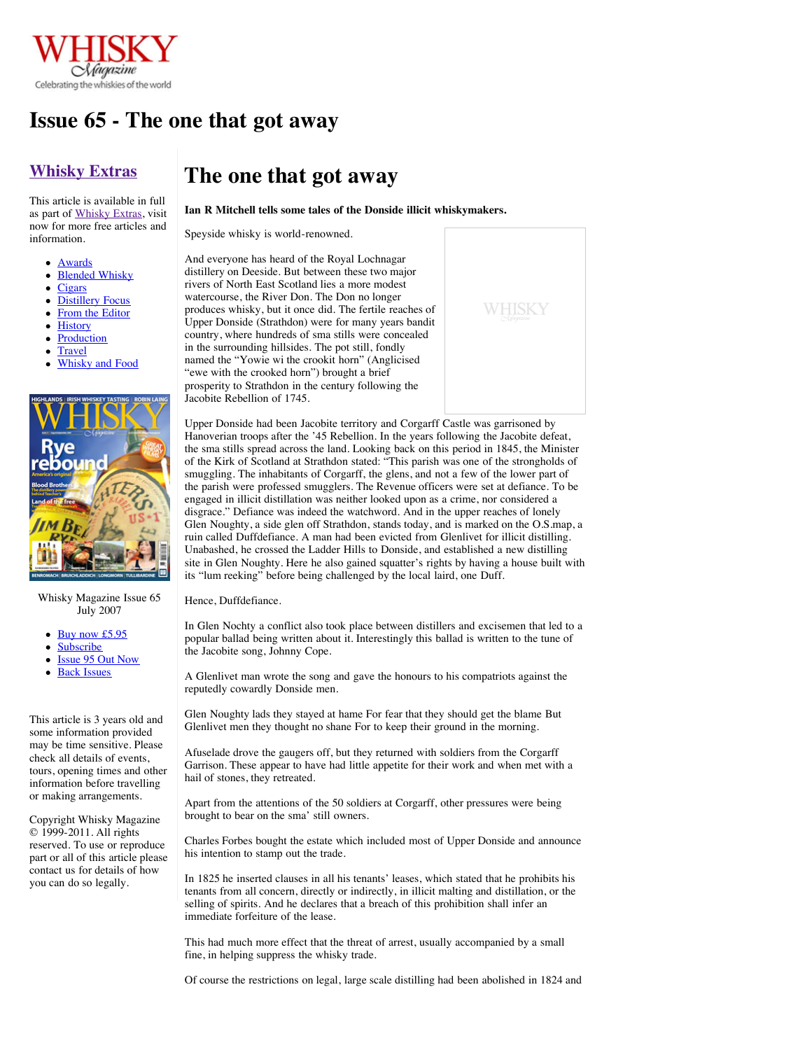

## **Issue 65 - The one that got away**

## **[Whisky Extras](http://www.whiskymag.com/school/)**

This article is available in full as part of [Whisky Extras](http://www.whiskymag.com/school/), visit now for more free articles and information.

- [Awards](http://www.whiskymag.com/school/awards/)
- [Blended Whisky](http://www.whiskymag.com/school/blended_whisky/)
- **[Cigars](http://www.whiskymag.com/school/cigars/)**
- **[Distillery Focus](http://www.whiskymag.com/school/distillery_focus/)**
- [From the Editor](http://www.whiskymag.com/school/from_the_editor/)
- [History](http://www.whiskymag.com/school/history/)
- [Production](http://www.whiskymag.com/school/production/)
- [Travel](http://www.whiskymag.com/school/travel/)
- [Whisky and Food](http://www.whiskymag.com/school/whisky_and_food/)



### Whisky Magazine Issue 65 July 2007

- $\bullet$  [Buy now £5.95](http://www.whiskymag.com/gifts/index.php?REP_Retail_FormData%5BAddItem%5D=825)
- **[Subscribe](http://www.whiskymag.com/magazine/subscribe/)**
- [Issue 95 Out Now](http://www.whiskymag.com/magazine/issue95/)
- [Back Issues](http://www.whiskymag.com/magazine/#backissues)

This article is 3 years old and some information provided may be time sensitive. Please check all details of events, tours, opening times and other information before travelling or making arrangements.

Copyright Whisky Magazine © 1999-2011. All rights reserved. To use or reproduce part or all of this article please contact us for details of how you can do so legally.

# **The one that got away**

**Ian R Mitchell tells some tales of the Donside illicit whiskymakers.**

Speyside whisky is world-renowned.

And everyone has heard of the Royal Lochnagar distillery on Deeside. But between these two major rivers of North East Scotland lies a more modest watercourse, the River Don. The Don no longer produces whisky, but it once did. The fertile reaches of Upper Donside (Strathdon) were for many years bandit country, where hundreds of sma stills were concealed in the surrounding hillsides. The pot still, fondly named the "Yowie wi the crookit horn" (Anglicised "ewe with the crooked horn") brought a brief prosperity to Strathdon in the century following the Jacobite Rebellion of 1745.



Upper Donside had been Jacobite territory and Corgarff Castle was garrisoned by Hanoverian troops after the '45 Rebellion. In the years following the Jacobite defeat, the sma stills spread across the land. Looking back on this period in 1845, the Minister of the Kirk of Scotland at Strathdon stated: "This parish was one of the strongholds of smuggling. The inhabitants of Corgarff, the glens, and not a few of the lower part of the parish were professed smugglers. The Revenue officers were set at defiance. To be engaged in illicit distillation was neither looked upon as a crime, nor considered a disgrace." Defiance was indeed the watchword. And in the upper reaches of lonely Glen Noughty, a side glen off Strathdon, stands today, and is marked on the O.S.map, a ruin called Duffdefiance. A man had been evicted from Glenlivet for illicit distilling. Unabashed, he crossed the Ladder Hills to Donside, and established a new distilling site in Glen Noughty. Here he also gained squatter's rights by having a house built with its "lum reeking" before being challenged by the local laird, one Duff.

#### Hence, Duffdefiance.

In Glen Nochty a conflict also took place between distillers and excisemen that led to a popular ballad being written about it. Interestingly this ballad is written to the tune of the Jacobite song, Johnny Cope.

A Glenlivet man wrote the song and gave the honours to his compatriots against the reputedly cowardly Donside men.

Glen Noughty lads they stayed at hame For fear that they should get the blame But Glenlivet men they thought no shane For to keep their ground in the morning.

Afuselade drove the gaugers off, but they returned with soldiers from the Corgarff Garrison. These appear to have had little appetite for their work and when met with a hail of stones, they retreated.

Apart from the attentions of the 50 soldiers at Corgarff, other pressures were being brought to bear on the sma' still owners.

Charles Forbes bought the estate which included most of Upper Donside and announce his intention to stamp out the trade.

In 1825 he inserted clauses in all his tenants' leases, which stated that he prohibits his tenants from all concern, directly or indirectly, in illicit malting and distillation, or the selling of spirits. And he declares that a breach of this prohibition shall infer an immediate forfeiture of the lease.

This had much more effect that the threat of arrest, usually accompanied by a small fine, in helping suppress the whisky trade.

Of course the restrictions on legal, large scale distilling had been abolished in 1824 and